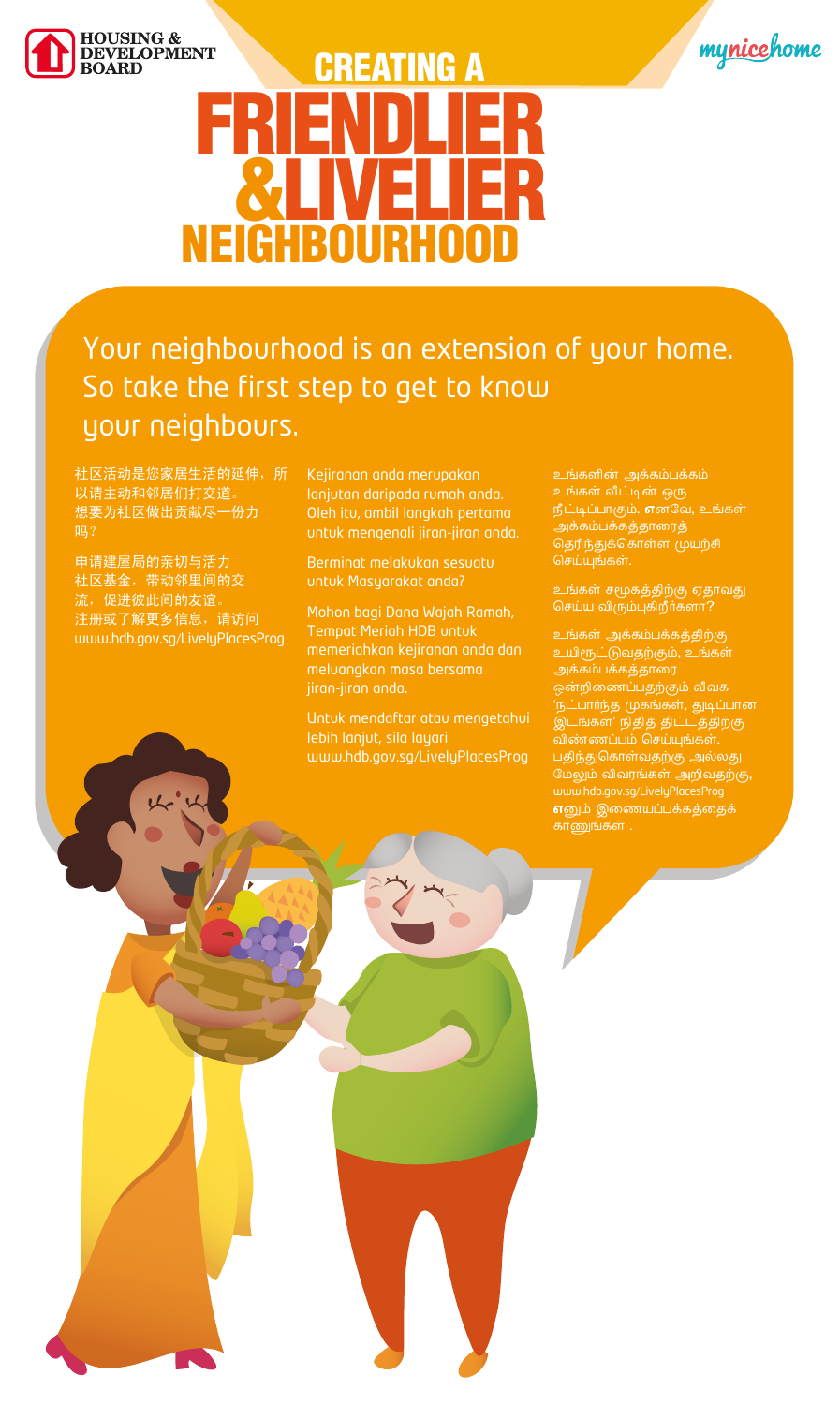



# **CREATING A NEIGHBOURHOOD**

#### Your neighbourhood is an extension of your home. So take the first step to get to know your neighbours.

社区活动是您家居生活的延伸,所 以请主动和邻居们打交道。 想要为社区做出贡献尽一份力 吗?

申请建屋局的亲切与活力 社区基金, 带动邻里间的交 流,促进彼此间的友谊。 注册或了解更多信息,请访问 www.hdb.gov.sg/LivelyPlacesProg



Kejiranan anda merupakan lanjutan daripada rumah anda. Oleh itu, ambil langkah pertama untuk mengenali jiran-jiran anda.

Berminat melakukan sesuatu untuk Masyarakat anda?

Mohon bagi Dana Wajah Ramah, **Tempat Meriah HDB untuk** memeriahkan kejiranan anda dan meluangkan masa bersama jiran-jiran anda.

Untuk mendaftar atau mengetahui

உங்களின் அக்கம்பக்கம் உங்கள் வீட்டின் ஒரு நீட்டிப்பாகும். எனவே, உங்கள் அக்கம்பக்கத்தாரைத் தெரிந்துக்கொள்ள முயற்சி செய்யுங்கள்.

உங்கள் சமூகத்திற்கு ஏதாவது செய்ய விரும்புகிறீர்களா?

உங்கள் அக்கம்பக்கத்திற்கு உயிரூட்டுவதற்கும், உங்கள் அக்கம்பக்கத்தாரை ஒன்றிணைப்பதற்கும் வீவக 'நட்பார்ந்த முகங்கள், துடிப்பான இடங்கள்' நிதித் திட்டத்திற்கு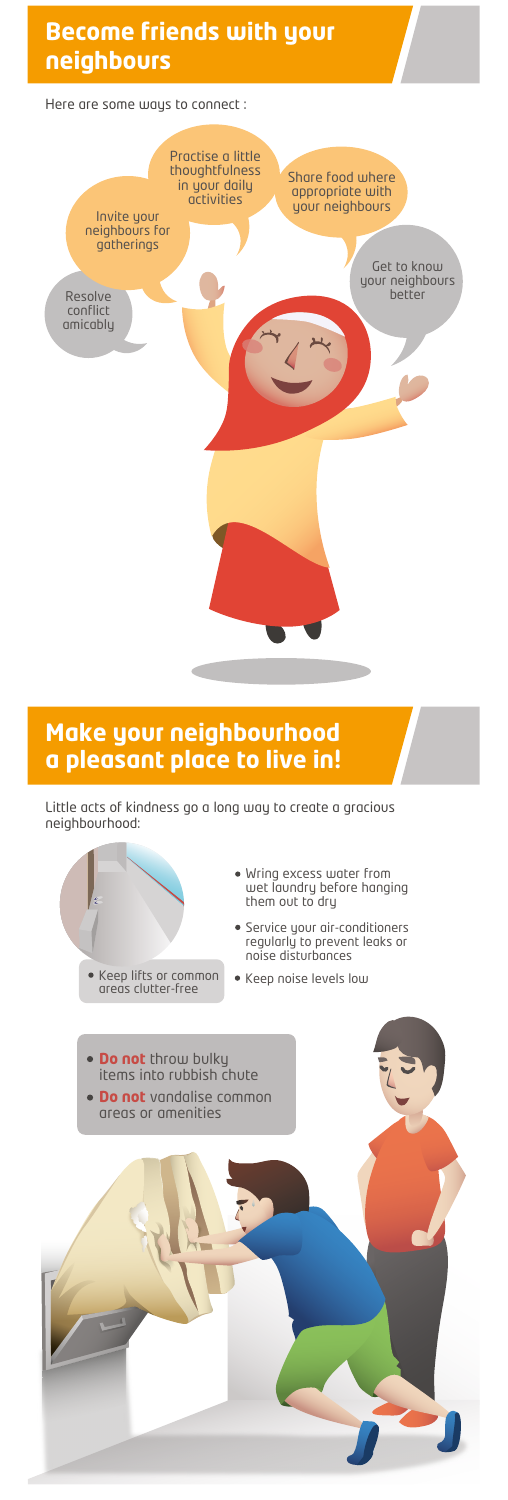Little acts of kindness go a long way to create a gracious neighbourhood:

- Wring excess water from wet laundry before hanging them out to dry
- Service your air-conditioners regularly to prevent leaks or noise disturbances
- 





**Do not** vandalise common areas or amenities



## **Become friends with your neighbours**

### **Make your neighbourhood a pleasant place to live in**!

Here are some ways to connect :